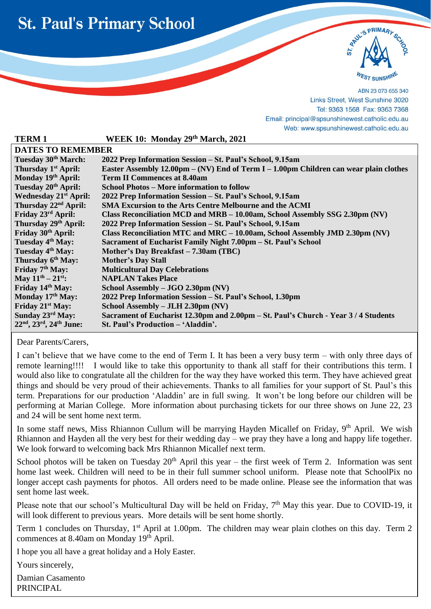



ABN 23 073 655 340 Links Street, West Sunshine 3020 Tel: 9363 1568 Fax: 9363 7368 Email: principal@spsunshinewest.catholic.edu.au Web: www.spsunshinewest.catholic.edu.au

| WEEK 10: Monday 29th March, 2021                                                                       |  |  |  |
|--------------------------------------------------------------------------------------------------------|--|--|--|
| <b>DATES TO REMEMBER</b>                                                                               |  |  |  |
| 2022 Prep Information Session – St. Paul's School, 9.15am                                              |  |  |  |
| Easter Assembly $12.00 \text{pm} - (N\text{V})$ End of Term I – 1.00pm Children can wear plain clothes |  |  |  |
| <b>Term II Commences at 8.40am</b>                                                                     |  |  |  |
| <b>School Photos – More information to follow</b>                                                      |  |  |  |
| 2022 Prep Information Session - St. Paul's School, 9.15am                                              |  |  |  |
| <b>SMA Excursion to the Arts Centre Melbourne and the ACMI</b>                                         |  |  |  |
| Class Reconciliation MCD and MRB – 10.00am, School Assembly SSG 2.30pm (NV)                            |  |  |  |
| 2022 Prep Information Session - St. Paul's School, 9.15am                                              |  |  |  |
| Class Reconciliation MTC and MRC $-10.00$ am, School Assembly JMD 2.30pm (NV)                          |  |  |  |
| Sacrament of Eucharist Family Night 7.00pm – St. Paul's School                                         |  |  |  |
| Mother's Day Breakfast – 7.30am (TBC)                                                                  |  |  |  |
| <b>Mother's Day Stall</b>                                                                              |  |  |  |
| <b>Multicultural Day Celebrations</b>                                                                  |  |  |  |
| <b>NAPLAN Takes Place</b>                                                                              |  |  |  |
| School Assembly – JGO 2.30pm (NV)                                                                      |  |  |  |
| 2022 Prep Information Session – St. Paul's School, 1.30pm                                              |  |  |  |
| School Assembly – JLH 2.30pm (NV)                                                                      |  |  |  |
| Sacrament of Eucharist 12.30pm and 2.00pm – St. Paul's Church - Year 3/4 Students                      |  |  |  |
| St. Paul's Production - 'Aladdin'.                                                                     |  |  |  |
|                                                                                                        |  |  |  |

Dear Parents/Carers,

l

I can't believe that we have come to the end of Term I. It has been a very busy term – with only three days of remote learning!!!! I would like to take this opportunity to thank all staff for their contributions this term. I would also like to congratulate all the children for the way they have worked this term. They have achieved great things and should be very proud of their achievements. Thanks to all families for your support of St. Paul's this term. Preparations for our production 'Aladdin' are in full swing. It won't be long before our children will be performing at Marian College. More information about purchasing tickets for our three shows on June 22, 23 and 24 will be sent home next term.

In some staff news, Miss Rhiannon Cullum will be marrying Hayden Micallef on Friday, 9<sup>th</sup> April. We wish Rhiannon and Hayden all the very best for their wedding day – we pray they have a long and happy life together. We look forward to welcoming back Mrs Rhiannon Micallef next term.

School photos will be taken on Tuesday  $20<sup>th</sup>$  April this year – the first week of Term 2. Information was sent home last week. Children will need to be in their full summer school uniform. Please note that SchoolPix no longer accept cash payments for photos. All orders need to be made online. Please see the information that was sent home last week.

Please note that our school's Multicultural Day will be held on Friday, 7<sup>th</sup> May this year. Due to COVID-19, it will look different to previous years. More details will be sent home shortly.

Term 1 concludes on Thursday, 1<sup>st</sup> April at 1.00pm. The children may wear plain clothes on this day. Term 2 commences at 8.40am on Monday 19<sup>th</sup> April.

I hope you all have a great holiday and a Holy Easter.

Yours sincerely,

Damian Casamento PRINCIPAL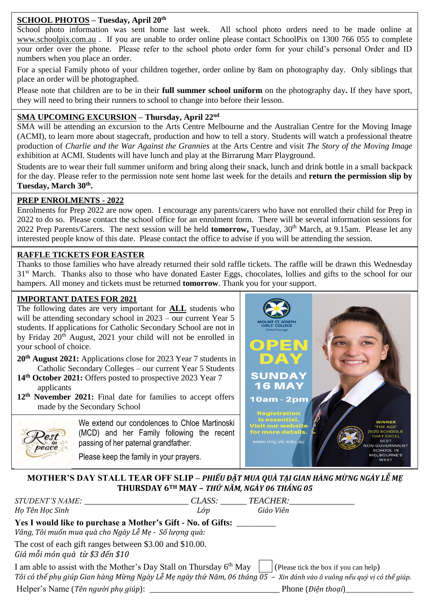#### **SCHOOL PHOTOS – Tuesday, April 20th**

School photo information was sent home last week. All school photo orders need to be made online at [www.schoolpix.com.au](http://www.schoolpix.com.au/) . If you are unable to order online please contact SchoolPix on 1300 766 055 to complete your order over the phone. Please refer to the school photo order form for your child's personal Order and ID numbers when you place an order.

For a special Family photo of your children together, order online by 8am on photography day. Only siblings that place an order will be photographed.

Please note that children are to be in their **full summer school uniform** on the photography day**.** If they have sport, they will need to bring their runners to school to change into before their lesson.

#### **SMA UPCOMING EXCURSION – Thursday, April 22nd**

SMA will be attending an excursion to the Arts Centre Melbourne and the Australian Centre for the Moving Image (ACMI), to learn more about stagecraft, production and how to tell a story. Students will watch a professional theatre production of *Charlie and the War Against the Grannies* at the Arts Centre and visit *The Story of the Moving Image* exhibition at ACMI. Students will have lunch and play at the Birrarung Marr Playground.

Students are to wear their full summer uniform and bring along their snack, lunch and drink bottle in a small backpack for the day. Please refer to the permission note sent home last week for the details and **return the permission slip by Tuesday, March 30th .**

#### **PREP ENROLMENTS - 2022**

Enrolments for Prep 2022 are now open. I encourage any parents/carers who have not enrolled their child for Prep in 2022 to do so. Please contact the school office for an enrolment form. There will be several information sessions for 2022 Prep Parents/Carers. The next session will be held **tomorrow,** Tuesday, 30<sup>th</sup> March, at 9.15am. Please let any interested people know of this date. Please contact the office to advise if you will be attending the session.

# **RAFFLE TICKETS FOR EASTER**

 Thanks to those families who have already returned their sold raffle tickets. The raffle will be drawn this Wednesday 31<sup>st</sup> March. Thanks also to those who have donated Easter Eggs, chocolates, lollies and gifts to the school for our hampers. All money and tickets must be returned **tomorrow**. Thank you for your support.

# **IMPORTANT DATES FOR 2021**

The following dates are very important for **ALL** students who will be attending secondary school in 2023 – our current Year 5 students. If applications for Catholic Secondary School are not in by Friday  $20^{t}$  August, 2021 your child will not be enrolled in your school of choice.

- **20th August 2021:** Applications close for 2023 Year 7 students in Catholic Secondary Colleges – our current Year 5 Students
- **14th October 2021:** Offers posted to prospective 2023 Year 7 applicants
- **12th November 2021:** Final date for families to accept offers made by the Secondary School

peace

We extend our condolences to Chloe Martinoski (MCD) and her Family following the recent passing of her paternal grandfather.

Please keep the family in your prayers.



**MOTHER'S DAY STALL TEAR OFF SLIP –** *PHIẾU ĐẶT MUA QUÀ TẠI GIAN HÀNG MỪNG NGÀY LỄ MẸ* **THURSDAY 6TH MAY –** *THỨ NĂM, NGÀY 06 THÁNG 05*

| <i>STUDENT'S NAME:</i><br>Họ Tên Học Sinh                                                                                                                                                                                                                                                                                          | CLASS:<br>Lớp | TEACHER:<br>Giáo Viên                     |
|------------------------------------------------------------------------------------------------------------------------------------------------------------------------------------------------------------------------------------------------------------------------------------------------------------------------------------|---------------|-------------------------------------------|
| Yes I would like to purchase a Mother's Gift - No. of Gifts:<br>Vâng, Tôi muốn mua quà cho Ngày Lễ Mẹ - Số lượng quà:                                                                                                                                                                                                              |               |                                           |
| The cost of each gift ranges between \$3.00 and \$10.00.<br>Giá mỗi món quà từ \$3 đến \$10                                                                                                                                                                                                                                        |               |                                           |
| I am able to assist with the Mother's Day Stall on Thursday $6^{th}$ May   (Please tick the box if you can help)<br>Tôi có thể phụ giúp Gian hàng Mừng Ngày Lễ Mẹ ngày thứ Năm, 06 tháng 05 – Xin đánh vào ô vuông nếu quý vị có thể giúp.                                                                                         |               |                                           |
| $\mathbf{I}$ $\mathbf{I}$ $\mathbf{I}$ $\mathbf{I}$ $\mathbf{I}$ $\mathbf{I}$ $\mathbf{I}$ $\mathbf{I}$ $\mathbf{I}$ $\mathbf{I}$ $\mathbf{I}$ $\mathbf{I}$ $\mathbf{I}$ $\mathbf{I}$ $\mathbf{I}$ $\mathbf{I}$ $\mathbf{I}$ $\mathbf{I}$ $\mathbf{I}$ $\mathbf{I}$ $\mathbf{I}$ $\mathbf{I}$ $\mathbf{I}$ $\mathbf{I}$ $\mathbf{$ |               | $\mathbf{D1}$ $\mathbf{D2}$ $\mathbf{D3}$ |

Helper's Name (*Tên người phụ giúp*): \_\_\_\_\_\_\_\_\_\_\_\_\_\_\_\_\_\_\_\_\_\_\_\_\_\_\_\_\_\_ Phone (*Điện thoại*)\_\_\_\_\_\_\_\_\_\_\_\_\_\_\_\_\_